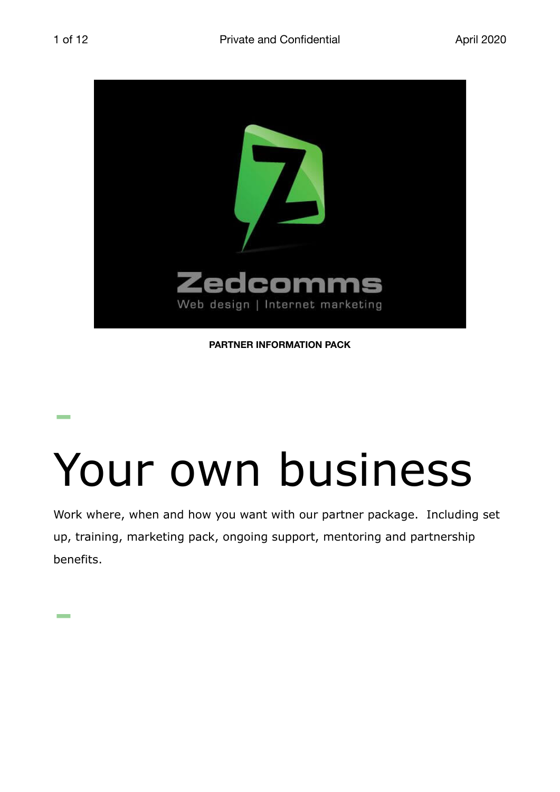

**PARTNER INFORMATION PACK**

### - Your own business

Work where, when and how you want with our partner package. Including set up, training, marketing pack, ongoing support, mentoring and partnership benefits.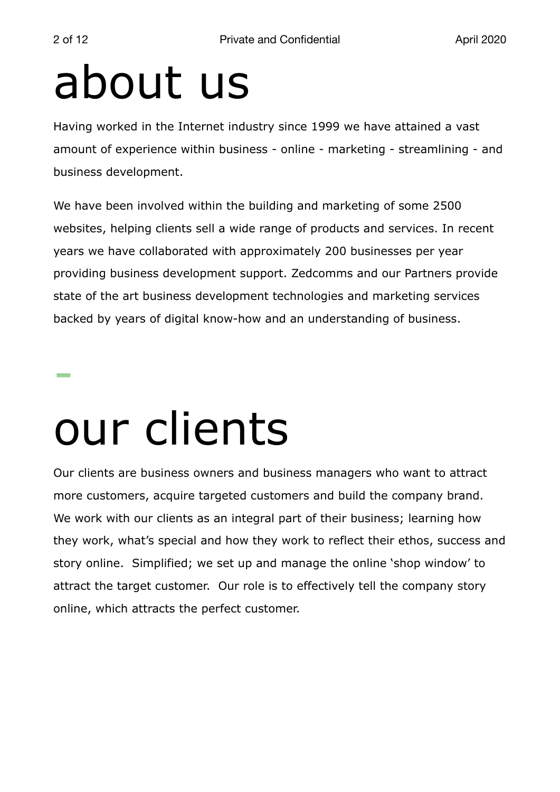### about us

Having worked in the Internet industry since 1999 we have attained a vast amount of experience within business - online - marketing - streamlining - and business development.

We have been involved within the building and marketing of some 2500 websites, helping clients sell a wide range of products and services. In recent years we have collaborated with approximately 200 businesses per year providing business development support. Zedcomms and our Partners provide state of the art business development technologies and marketing services backed by years of digital know-how and an understanding of business.

### our clients

Our clients are business owners and business managers who want to attract more customers, acquire targeted customers and build the company brand. We work with our clients as an integral part of their business; learning how they work, what's special and how they work to reflect their ethos, success and story online. Simplified; we set up and manage the online 'shop window' to attract the target customer. Our role is to effectively tell the company story online, which attracts the perfect customer.

-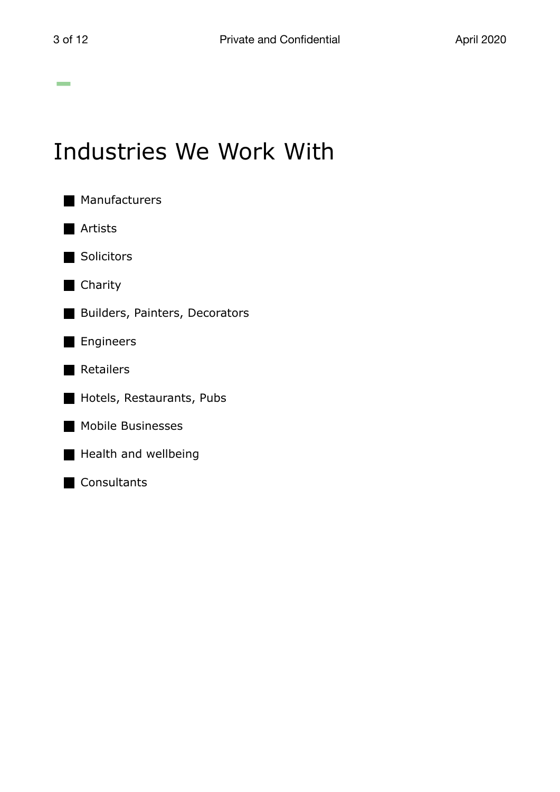### Industries We Work With

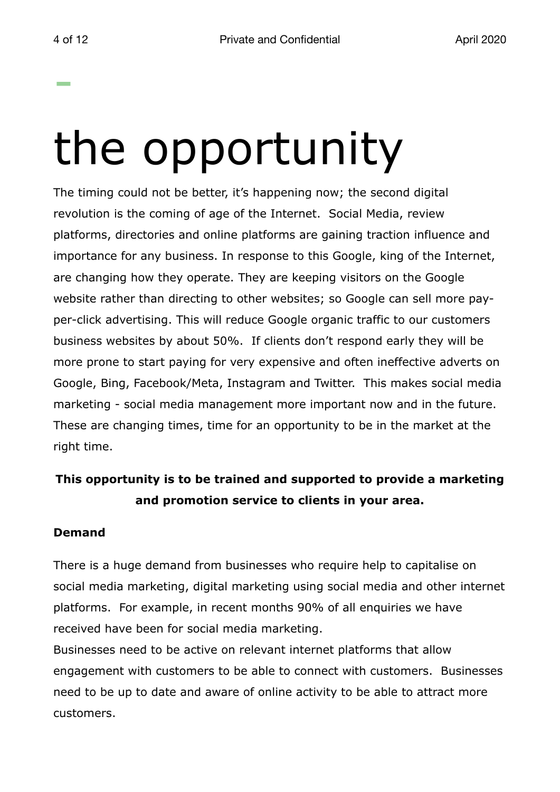# the opportunity

The timing could not be better, it's happening now; the second digital revolution is the coming of age of the Internet. Social Media, review platforms, directories and online platforms are gaining traction influence and importance for any business. In response to this Google, king of the Internet, are changing how they operate. They are keeping visitors on the Google website rather than directing to other websites; so Google can sell more payper-click advertising. This will reduce Google organic traffic to our customers business websites by about 50%. If clients don't respond early they will be more prone to start paying for very expensive and often ineffective adverts on Google, Bing, Facebook/Meta, Instagram and Twitter. This makes social media marketing - social media management more important now and in the future. These are changing times, time for an opportunity to be in the market at the right time.

#### **This opportunity is to be trained and supported to provide a marketing and promotion service to clients in your area.**

#### **Demand**

There is a huge demand from businesses who require help to capitalise on social media marketing, digital marketing using social media and other internet platforms. For example, in recent months 90% of all enquiries we have received have been for social media marketing.

Businesses need to be active on relevant internet platforms that allow engagement with customers to be able to connect with customers. Businesses need to be up to date and aware of online activity to be able to attract more customers.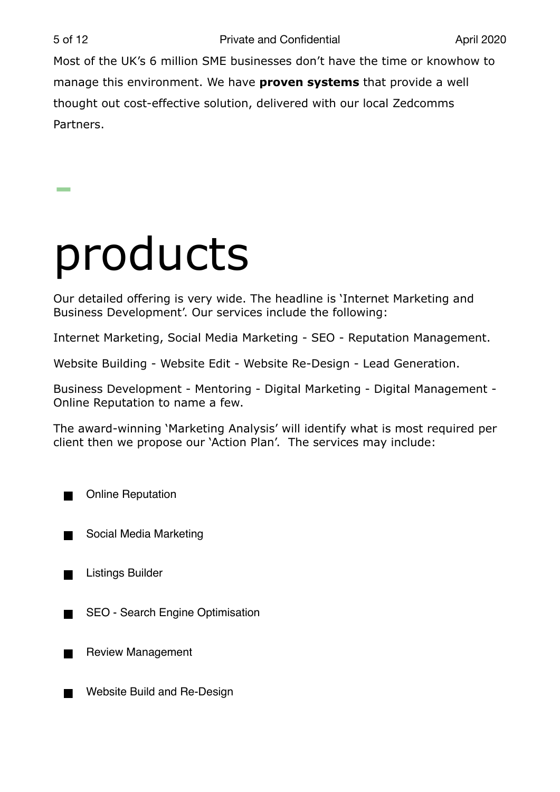Most of the UK's 6 million SME businesses don't have the time or knowhow to manage this environment. We have **proven systems** that provide a well thought out cost-effective solution, delivered with our local Zedcomms Partners.

### products

Our detailed offering is very wide. The headline is 'Internet Marketing and Business Development'. Our services include the following:

Internet Marketing, Social Media Marketing - SEO - Reputation Management.

Website Building - Website Edit - Website Re-Design - Lead Generation.

Business Development - Mentoring - Digital Marketing - Digital Management - Online Reputation to name a few.

The award-winning 'Marketing Analysis' will identify what is most required per client then we propose our 'Action Plan'. The services may include:

Online Reputation

Social Media Marketing

Listings Builder

SEO - Search Engine Optimisation

Review Management

Website Build and Re-Design**The Second Second**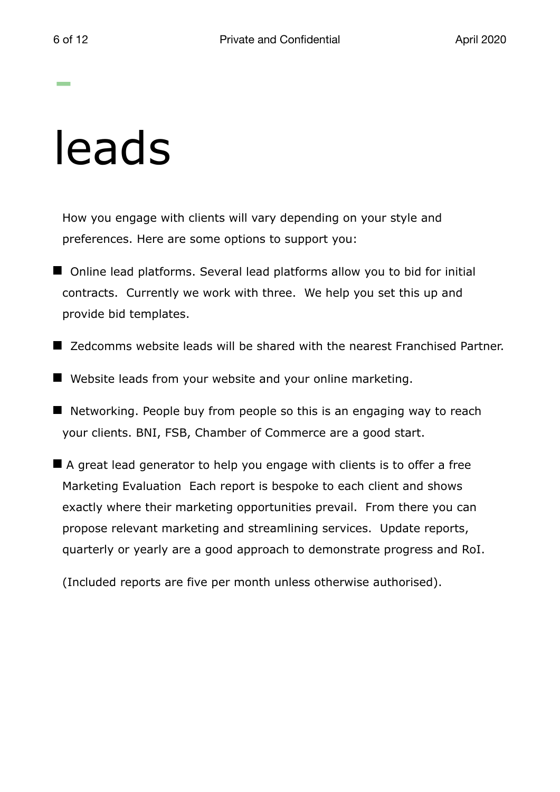### leads

How you engage with clients will vary depending on your style and preferences. Here are some options to support you:

- Online lead platforms. Several lead platforms allow you to bid for initial contracts. Currently we work with three. We help you set this up and provide bid templates.
- Zedcomms website leads will be shared with the nearest Franchised Partner.
- Website leads from your website and your online marketing.
- $\blacksquare$  Networking. People buy from people so this is an engaging way to reach your clients. BNI, FSB, Chamber of Commerce are a good start.
- A great lead generator to help you engage with clients is to offer a free Marketing Evaluation Each report is bespoke to each client and shows exactly where their marketing opportunities prevail. From there you can propose relevant marketing and streamlining services. Update reports, quarterly or yearly are a good approach to demonstrate progress and RoI.

(Included reports are five per month unless otherwise authorised).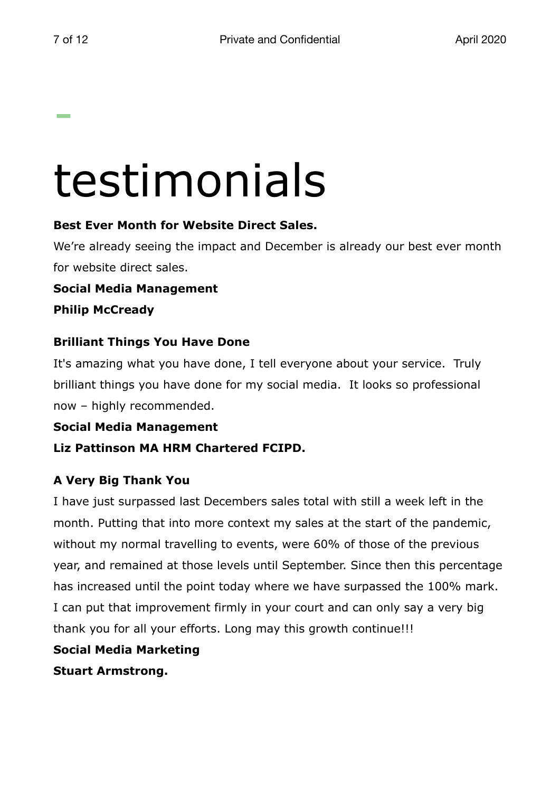## testimonials

#### **Best Ever Month for Website Direct Sales.**

We're already seeing the impact and December is already our best ever month for website direct sales.

**Social Media Management Philip McCready**

#### **Brilliant Things You Have Done**

It's amazing what you have done, I tell everyone about your service. Truly brilliant things you have done for my social media. It looks so professional now – highly recommended.

**Social Media Management** 

**Liz Pattinson MA HRM Chartered FCIPD.** 

#### **A Very Big Thank You**

I have just surpassed last Decembers sales total with still a week left in the month. Putting that into more context my sales at the start of the pandemic, without my normal travelling to events, were 60% of those of the previous year, and remained at those levels until September. Since then this percentage has increased until the point today where we have surpassed the 100% mark. I can put that improvement firmly in your court and can only say a very big thank you for all your efforts. Long may this growth continue!!!

#### **Social Media Marketing**

**Stuart Armstrong.**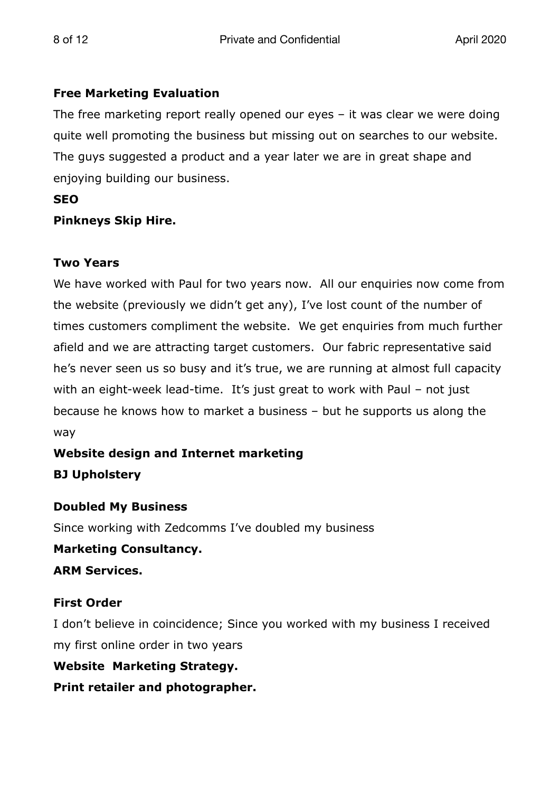#### **Free Marketing Evaluation**

The free marketing report really opened our eyes – it was clear we were doing quite well promoting the business but missing out on searches to our website. The guys suggested a product and a year later we are in great shape and enjoying building our business.

#### **SEO**

#### **Pinkneys Skip Hire.**

#### **Two Years**

We have worked with Paul for two years now. All our enquiries now come from the website (previously we didn't get any), I've lost count of the number of times customers compliment the website. We get enquiries from much further afield and we are attracting target customers. Our fabric representative said he's never seen us so busy and it's true, we are running at almost full capacity with an eight-week lead-time. It's just great to work with Paul – not just because he knows how to market a business – but he supports us along the way

#### **Website design and Internet marketing BJ Upholstery**

#### **Doubled My Business**

Since working with Zedcomms I've doubled my business

#### **Marketing Consultancy.**

**ARM Services.**

#### **First Order**

I don't believe in coincidence; Since you worked with my business I received my first online order in two years

#### **Website Marketing Strategy.**

**Print retailer and photographer.**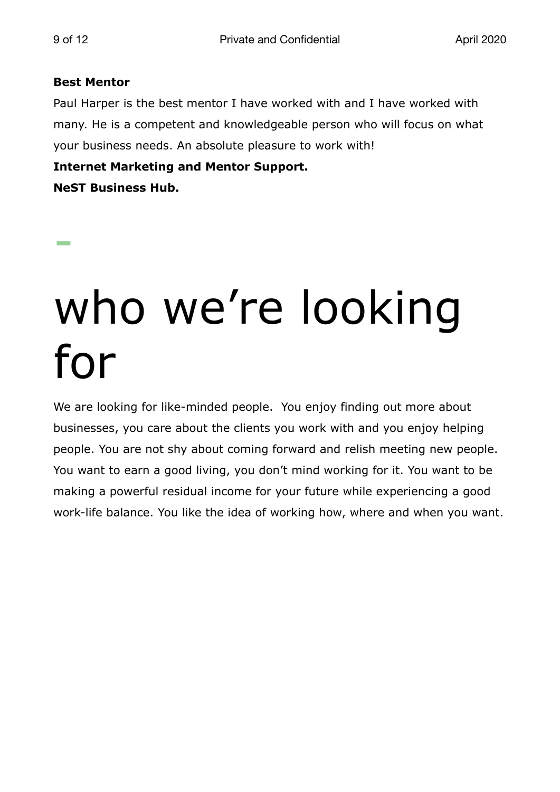#### **Best Mentor**

Paul Harper is the best mentor I have worked with and I have worked with many. He is a competent and knowledgeable person who will focus on what your business needs. An absolute pleasure to work with!

**Internet Marketing and Mentor Support.**

**NeST Business Hub.**

### who we're looking for

We are looking for like-minded people. You enjoy finding out more about businesses, you care about the clients you work with and you enjoy helping people. You are not shy about coming forward and relish meeting new people. You want to earn a good living, you don't mind working for it. You want to be making a powerful residual income for your future while experiencing a good work-life balance. You like the idea of working how, where and when you want.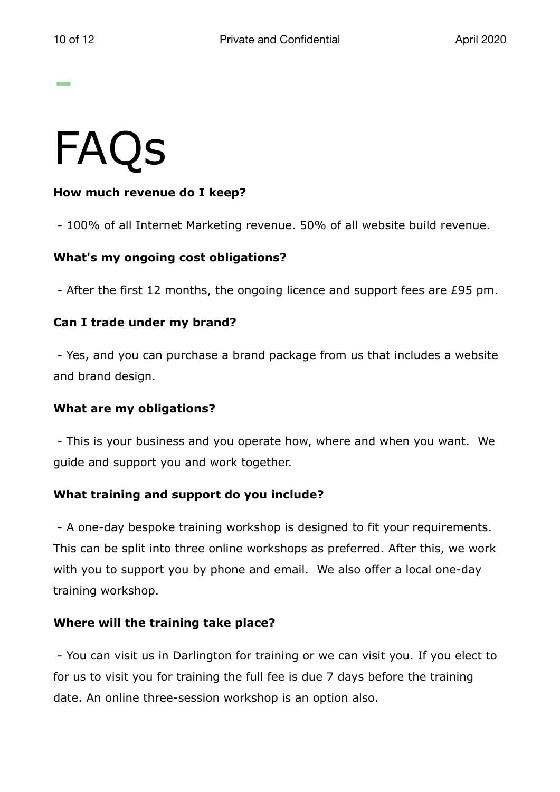### FAQs

#### **How much revenue do I keep?**

- 100% of all Internet Marketing revenue. 50% of all website build revenue.

#### **What's my ongoing cost obligations?**

- After the first 12 months, the ongoing licence and support fees are £95 pm.

#### **Can I trade under my brand?**

 - Yes, and you can purchase a brand package from us that includes a website and brand design.

#### **What are my obligations?**

 - This is your business and you operate how, where and when you want. We guide and support you and work together.

#### **What training and support do you include?**

 - A one-day bespoke training workshop is designed to fit your requirements. This can be split into three online workshops as preferred. After this, we work with you to support you by phone and email. We also offer a local one-day training workshop.

#### **Where will the training take place?**

 - You can visit us in Darlington for training or we can visit you. If you elect to for us to visit you for training the full fee is due 7 days before the training date. An online three-session workshop is an option also.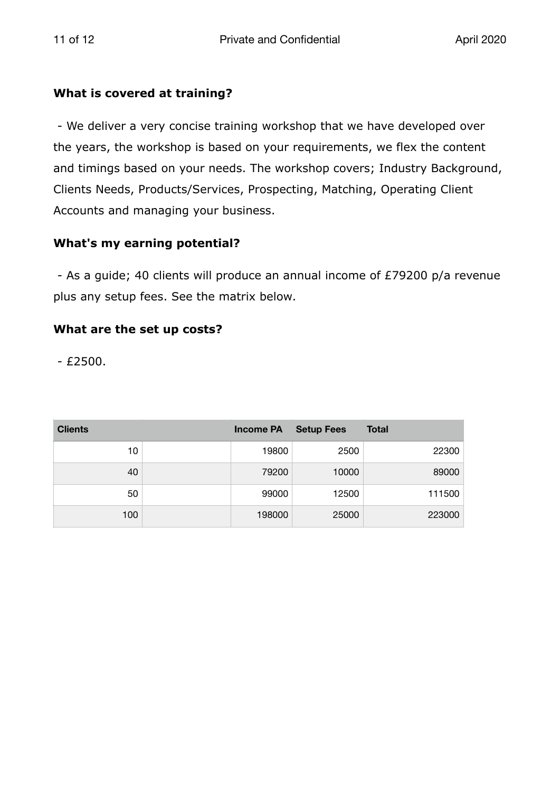#### **What is covered at training?**

 - We deliver a very concise training workshop that we have developed over the years, the workshop is based on your requirements, we flex the content and timings based on your needs. The workshop covers; Industry Background, Clients Needs, Products/Services, Prospecting, Matching, Operating Client Accounts and managing your business.

#### **What's my earning potential?**

 - As a guide; 40 clients will produce an annual income of £79200 p/a revenue plus any setup fees. See the matrix below.

#### **What are the set up costs?**

 $- E2500.$ 

| <b>Clients</b> | <b>Income PA</b> | <b>Setup Fees</b> | <b>Total</b> |
|----------------|------------------|-------------------|--------------|
| 10             | 19800            | 2500              | 22300        |
| 40             | 79200            | 10000             | 89000        |
| 50             | 99000            | 12500             | 111500       |
| 100            | 198000           | 25000             | 223000       |